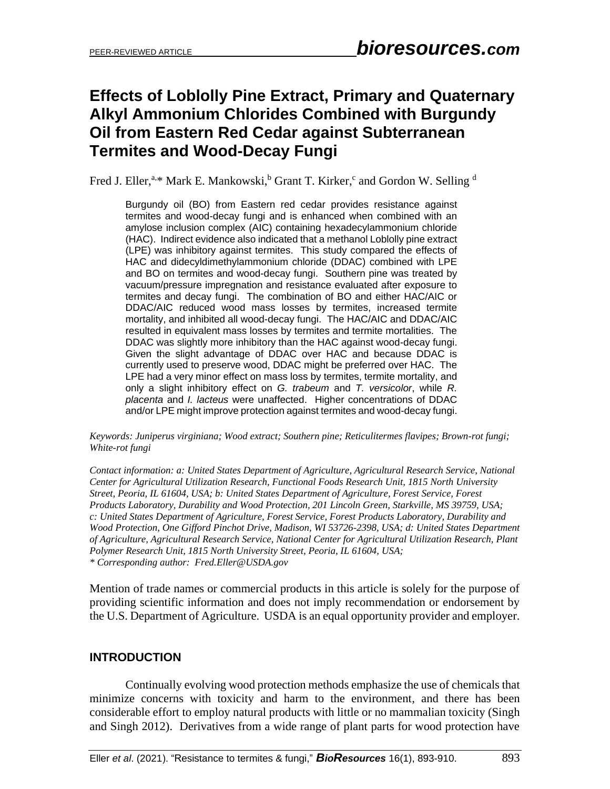# **Effects of Loblolly Pine Extract, Primary and Quaternary Alkyl Ammonium Chlorides Combined with Burgundy Oil from Eastern Red Cedar against Subterranean Termites and Wood-Decay Fungi**

Fred J. Eller,<sup>a,\*</sup> Mark E. Mankowski,<sup>b</sup> Grant T. Kirker,<sup>c</sup> and Gordon W. Selling <sup>d</sup>

Burgundy oil (BO) from Eastern red cedar provides resistance against termites and wood-decay fungi and is enhanced when combined with an amylose inclusion complex (AIC) containing hexadecylammonium chloride (HAC). Indirect evidence also indicated that a methanol Loblolly pine extract (LPE) was inhibitory against termites. This study compared the effects of HAC and didecyldimethylammonium chloride (DDAC) combined with LPE and BO on termites and wood-decay fungi. Southern pine was treated by vacuum/pressure impregnation and resistance evaluated after exposure to termites and decay fungi. The combination of BO and either HAC/AIC or DDAC/AIC reduced wood mass losses by termites, increased termite mortality, and inhibited all wood-decay fungi. The HAC/AIC and DDAC/AIC resulted in equivalent mass losses by termites and termite mortalities. The DDAC was slightly more inhibitory than the HAC against wood-decay fungi. Given the slight advantage of DDAC over HAC and because DDAC is currently used to preserve wood, DDAC might be preferred over HAC. The LPE had a very minor effect on mass loss by termites, termite mortality, and only a slight inhibitory effect on *G. trabeum* and *T. versicolor*, while *R. placenta* and *I. lacteus* were unaffected. Higher concentrations of DDAC and/or LPE might improve protection against termites and wood-decay fungi.

*Keywords: Juniperus virginiana; Wood extract; Southern pine; Reticulitermes flavipes; Brown-rot fungi; White-rot fungi*

*Contact information: a: United States Department of Agriculture, Agricultural Research Service, National Center for Agricultural Utilization Research, Functional Foods Research Unit, 1815 North University Street, Peoria, IL 61604, USA; b: United States Department of Agriculture, Forest Service, Forest Products Laboratory, Durability and Wood Protection, 201 Lincoln Green, Starkville, MS 39759, USA; c: United States Department of Agriculture, Forest Service, Forest Products Laboratory, Durability and Wood Protection, One Gifford Pinchot Drive, Madison, WI 53726-2398, USA; d: United States Department of Agriculture, Agricultural Research Service, National Center for Agricultural Utilization Research, Plant Polymer Research Unit, 1815 North University Street, Peoria, IL 61604, USA; \* Corresponding author: Fred.Eller@USDA.gov*

Mention of trade names or commercial products in this article is solely for the purpose of providing scientific information and does not imply recommendation or endorsement by the U.S. Department of Agriculture. USDA is an equal opportunity provider and employer.

#### **INTRODUCTION**

Continually evolving wood protection methods emphasize the use of chemicals that minimize concerns with toxicity and harm to the environment, and there has been considerable effort to employ natural products with little or no mammalian toxicity (Singh and Singh 2012). Derivatives from a wide range of plant parts for wood protection have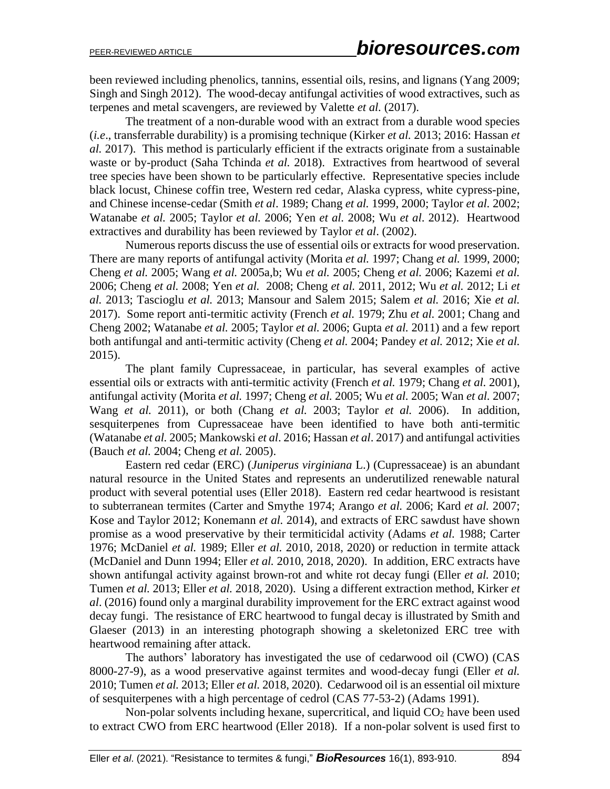been reviewed including phenolics, tannins, essential oils, resins, and lignans (Yang 2009; Singh and Singh 2012). The wood-decay antifungal activities of wood extractives, such as terpenes and metal scavengers, are reviewed by Valette *et al.* (2017).

The treatment of a non-durable wood with an extract from a durable wood species (*i.e*., transferrable durability) is a promising technique (Kirker *et al.* 2013; 2016: Hassan *et al.* 2017). This method is particularly efficient if the extracts originate from a sustainable waste or by-product (Saha Tchinda *et al.* 2018). Extractives from heartwood of several tree species have been shown to be particularly effective. Representative species include black locust, Chinese coffin tree, Western red cedar, Alaska cypress, white cypress-pine, and Chinese incense-cedar (Smith *et al*. 1989; Chang *et al.* 1999, 2000; Taylor *et al.* 2002; Watanabe *et al.* 2005; Taylor *et al.* 2006; Yen *et al.* 2008; Wu *et al*. 2012). Heartwood extractives and durability has been reviewed by Taylor *et al*. (2002).

Numerous reports discuss the use of essential oils or extracts for wood preservation. There are many reports of antifungal activity (Morita *et al.* 1997; Chang *et al.* 1999, 2000; Cheng *et al.* 2005; Wang *et al.* 2005a,b; Wu *et al.* 2005; Cheng *et al.* 2006; Kazemi *et al.* 2006; Cheng *et al.* 2008; Yen *et al.* 2008; Cheng *et al.* 2011, 2012; Wu *et al.* 2012; Li *et al.* 2013; Tascioglu *et al.* 2013; Mansour and Salem 2015; Salem *et al.* 2016; Xie *et al.* 2017). Some report anti-termitic activity (French *et al.* 1979; Zhu *et al.* 2001; Chang and Cheng 2002; Watanabe *et al.* 2005; Taylor *et al.* 2006; Gupta *et al.* 2011) and a few report both antifungal and anti-termitic activity (Cheng *et al.* 2004; Pandey *et al.* 2012; Xie *et al.* 2015).

The plant family Cupressaceae, in particular, has several examples of active essential oils or extracts with anti-termitic activity (French *et al.* 1979; Chang *et al.* 2001), antifungal activity (Morita *et al.* 1997; Cheng *et al.* 2005; Wu *et al.* 2005; Wan *et al.* 2007; Wang *et al.* 2011), or both (Chang *et al.* 2003; Taylor *et al.* 2006). In addition, sesquiterpenes from Cupressaceae have been identified to have both anti-termitic (Watanabe *et al.* 2005; Mankowski *et al*. 2016; Hassan *et al*. 2017) and antifungal activities (Bauch *et al.* 2004; Cheng *et al.* 2005).

Eastern red cedar (ERC) (*Juniperus virginiana* L.) (Cupressaceae) is an abundant natural resource in the United States and represents an underutilized renewable natural product with several potential uses (Eller 2018). Eastern red cedar heartwood is resistant to subterranean termites (Carter and Smythe 1974; Arango *et al.* 2006; Kard *et al.* 2007; Kose and Taylor 2012; Konemann *et al.* 2014), and extracts of ERC sawdust have shown promise as a wood preservative by their termiticidal activity (Adams *et al.* 1988; Carter 1976; McDaniel *et al.* 1989; Eller *et al.* 2010, 2018, 2020) or reduction in termite attack (McDaniel and Dunn 1994; Eller *et al.* 2010, 2018, 2020). In addition, ERC extracts have shown antifungal activity against brown-rot and white rot decay fungi (Eller *et al.* 2010; Tumen *et al.* 2013; Eller *et al.* 2018, 2020). Using a different extraction method, Kirker *et al*. (2016) found only a marginal durability improvement for the ERC extract against wood decay fungi. The resistance of ERC heartwood to fungal decay is illustrated by Smith and Glaeser (2013) in an interesting photograph showing a skeletonized ERC tree with heartwood remaining after attack.

The authors' laboratory has investigated the use of cedarwood oil (CWO) (CAS 8000-27-9), as a wood preservative against termites and wood-decay fungi (Eller *et al.* 2010; Tumen *et al.* 2013; Eller *et al.* 2018, 2020). Cedarwood oil is an essential oil mixture of sesquiterpenes with a high percentage of cedrol (CAS 77-53-2) (Adams 1991).

Non-polar solvents including hexane, supercritical, and liquid  $CO<sub>2</sub>$  have been used to extract CWO from ERC heartwood (Eller 2018). If a non-polar solvent is used first to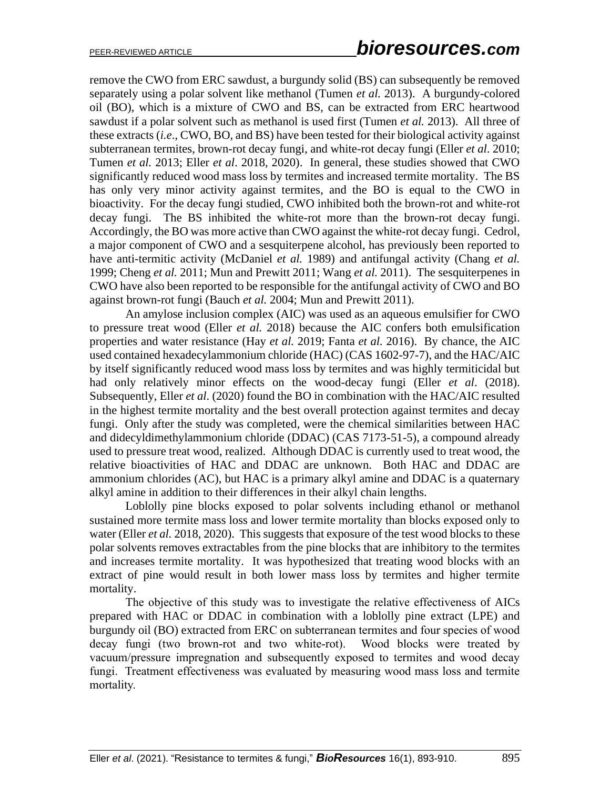remove the CWO from ERC sawdust, a burgundy solid (BS) can subsequently be removed separately using a polar solvent like methanol (Tumen *et al.* 2013). A burgundy-colored oil (BO), which is a mixture of CWO and BS, can be extracted from ERC heartwood sawdust if a polar solvent such as methanol is used first (Tumen *et al.* 2013). All three of these extracts (*i.e*., CWO, BO, and BS) have been tested for their biological activity against subterranean termites, brown-rot decay fungi, and white-rot decay fungi (Eller *et al*. 2010; Tumen *et al.* 2013; Eller *et al*. 2018, 2020). In general, these studies showed that CWO significantly reduced wood mass loss by termites and increased termite mortality. The BS has only very minor activity against termites, and the BO is equal to the CWO in bioactivity. For the decay fungi studied, CWO inhibited both the brown-rot and white-rot decay fungi. The BS inhibited the white-rot more than the brown-rot decay fungi. Accordingly, the BO was more active than CWO against the white-rot decay fungi. Cedrol, a major component of CWO and a sesquiterpene alcohol, has previously been reported to have anti-termitic activity (McDaniel *et al.* 1989) and antifungal activity (Chang *et al.* 1999; Cheng *et al.* 2011; Mun and Prewitt 2011; Wang *et al.* 2011).The sesquiterpenes in CWO have also been reported to be responsible for the antifungal activity of CWO and BO against brown-rot fungi (Bauch *et al.* 2004; Mun and Prewitt 2011).

An amylose inclusion complex (AIC) was used as an aqueous emulsifier for CWO to pressure treat wood (Eller *et al.* 2018) because the AIC confers both emulsification properties and water resistance (Hay *et al.* 2019; Fanta *et al.* 2016). By chance, the AIC used contained hexadecylammonium chloride (HAC) (CAS 1602-97-7), and the HAC/AIC by itself significantly reduced wood mass loss by termites and was highly termiticidal but had only relatively minor effects on the wood-decay fungi (Eller *et al*. (2018). Subsequently, Eller *et al*. (2020) found the BO in combination with the HAC/AIC resulted in the highest termite mortality and the best overall protection against termites and decay fungi. Only after the study was completed, were the chemical similarities between HAC and didecyldimethylammonium chloride (DDAC) (CAS 7173-51-5), a compound already used to pressure treat wood, realized. Although DDAC is currently used to treat wood, the relative bioactivities of HAC and DDAC are unknown. Both HAC and DDAC are ammonium chlorides (AC), but HAC is a primary alkyl amine and DDAC is a quaternary alkyl amine in addition to their differences in their alkyl chain lengths.

Loblolly pine blocks exposed to polar solvents including ethanol or methanol sustained more termite mass loss and lower termite mortality than blocks exposed only to water (Eller *et al.* 2018, 2020). This suggests that exposure of the test wood blocks to these polar solvents removes extractables from the pine blocks that are inhibitory to the termites and increases termite mortality. It was hypothesized that treating wood blocks with an extract of pine would result in both lower mass loss by termites and higher termite mortality.

The objective of this study was to investigate the relative effectiveness of AICs prepared with HAC or DDAC in combination with a loblolly pine extract (LPE) and burgundy oil (BO) extracted from ERC on subterranean termites and four species of wood decay fungi (two brown-rot and two white-rot). Wood blocks were treated by vacuum/pressure impregnation and subsequently exposed to termites and wood decay fungi. Treatment effectiveness was evaluated by measuring wood mass loss and termite mortality.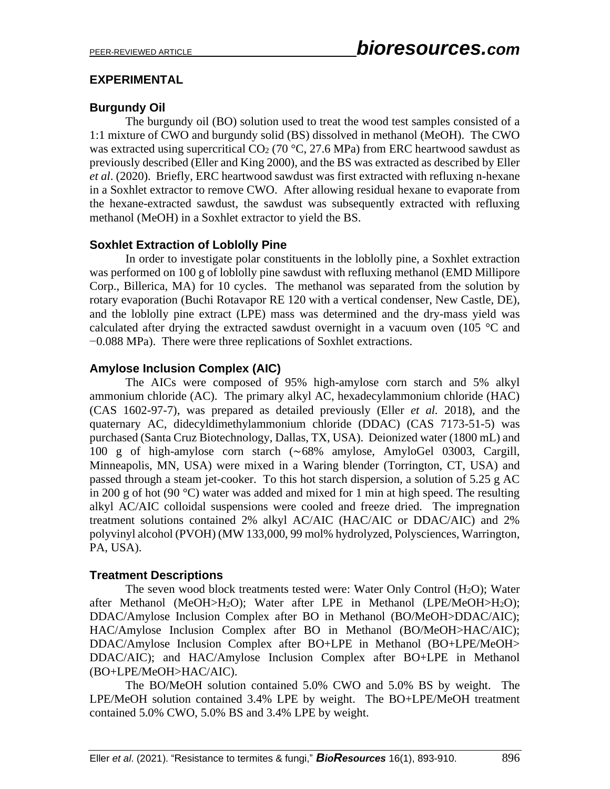## **EXPERIMENTAL**

# **Burgundy Oil**

The burgundy oil (BO) solution used to treat the wood test samples consisted of a 1:1 mixture of CWO and burgundy solid (BS) dissolved in methanol (MeOH). The CWO was extracted using supercritical  $CO<sub>2</sub>$  (70 °C, 27.6 MPa) from ERC heartwood sawdust as previously described (Eller and King 2000), and the BS was extracted as described by Eller *et al*. (2020). Briefly, ERC heartwood sawdust was first extracted with refluxing n-hexane in a Soxhlet extractor to remove CWO. After allowing residual hexane to evaporate from the hexane-extracted sawdust, the sawdust was subsequently extracted with refluxing methanol (MeOH) in a Soxhlet extractor to yield the BS.

## **Soxhlet Extraction of Loblolly Pine**

In order to investigate polar constituents in the loblolly pine, a Soxhlet extraction was performed on 100 g of loblolly pine sawdust with refluxing methanol (EMD Millipore Corp., Billerica, MA) for 10 cycles. The methanol was separated from the solution by rotary evaporation (Buchi Rotavapor RE 120 with a vertical condenser, New Castle, DE), and the loblolly pine extract (LPE) mass was determined and the dry-mass yield was calculated after drying the extracted sawdust overnight in a vacuum oven (105 $\degree$ C and −0.088 MPa). There were three replications of Soxhlet extractions.

## **Amylose Inclusion Complex (AIC)**

The AICs were composed of 95% high-amylose corn starch and 5% alkyl ammonium chloride (AC). The primary alkyl AC, hexadecylammonium chloride (HAC) (CAS 1602-97-7), was prepared as detailed previously (Eller *et al.* 2018), and the quaternary AC, didecyldimethylammonium chloride (DDAC) (CAS 7173-51-5) was purchased (Santa Cruz Biotechnology, Dallas, TX, USA). Deionized water (1800 mL) and 100 g of high-amylose corn starch (∼68% amylose, AmyloGel 03003, Cargill, Minneapolis, MN, USA) were mixed in a Waring blender (Torrington, CT, USA) and passed through a steam jet-cooker. To this hot starch dispersion, a solution of 5.25 g AC in 200 g of hot (90 °C) water was added and mixed for 1 min at high speed. The resulting alkyl AC/AIC colloidal suspensions were cooled and freeze dried. The impregnation treatment solutions contained 2% alkyl AC/AIC (HAC/AIC or DDAC/AIC) and 2% polyvinyl alcohol (PVOH) (MW 133,000, 99 mol% hydrolyzed, Polysciences, Warrington, PA, USA).

#### **Treatment Descriptions**

The seven wood block treatments tested were: Water Only Control (H2O); Water after Methanol (MeOH>H2O); Water after LPE in Methanol (LPE/MeOH>H2O); DDAC/Amylose Inclusion Complex after BO in Methanol (BO/MeOH>DDAC/AIC); HAC/Amylose Inclusion Complex after BO in Methanol (BO/MeOH>HAC/AIC); DDAC/Amylose Inclusion Complex after BO+LPE in Methanol (BO+LPE/MeOH> DDAC/AIC); and HAC/Amylose Inclusion Complex after BO+LPE in Methanol (BO+LPE/MeOH>HAC/AIC).

The BO/MeOH solution contained 5.0% CWO and 5.0% BS by weight. The LPE/MeOH solution contained 3.4% LPE by weight. The BO+LPE/MeOH treatment contained 5.0% CWO, 5.0% BS and 3.4% LPE by weight.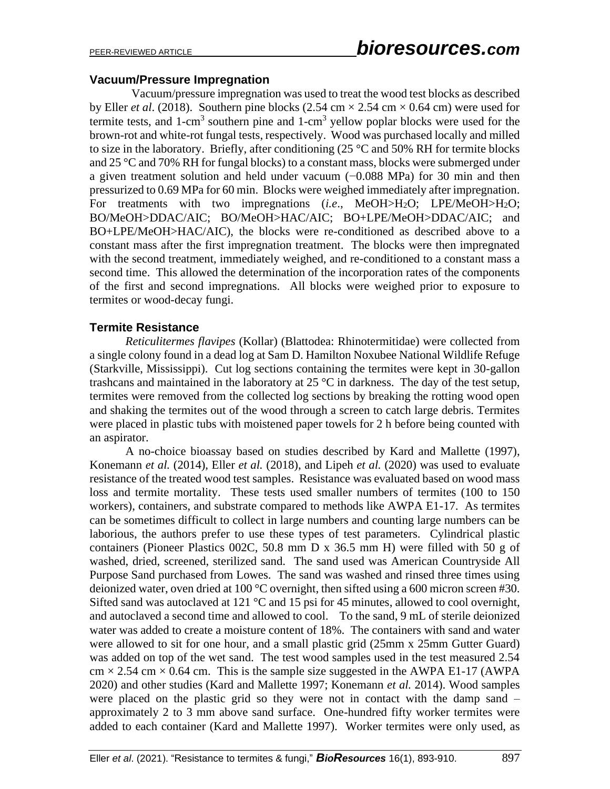#### **Vacuum/Pressure Impregnation**

 Vacuum/pressure impregnation was used to treat the wood test blocks as described by Eller *et al.* (2018). Southern pine blocks (2.54 cm  $\times$  2.54 cm  $\times$  0.64 cm) were used for termite tests, and  $1$ -cm<sup>3</sup> southern pine and  $1$ -cm<sup>3</sup> yellow poplar blocks were used for the brown-rot and white-rot fungal tests, respectively. Wood was purchased locally and milled to size in the laboratory. Briefly, after conditioning  $(25 \degree C$  and  $50\%$  RH for termite blocks and 25 °C and 70% RH for fungal blocks) to a constant mass, blocks were submerged under a given treatment solution and held under vacuum (−0.088 MPa) for 30 min and then pressurized to 0.69 MPa for 60 min. Blocks were weighed immediately after impregnation. For treatments with two impregnations (*i.e*., MeOH>H2O; LPE/MeOH>H2O; BO/MeOH>DDAC/AIC; BO/MeOH>HAC/AIC; BO+LPE/MeOH>DDAC/AIC; and BO+LPE/MeOH>HAC/AIC), the blocks were re-conditioned as described above to a constant mass after the first impregnation treatment. The blocks were then impregnated with the second treatment, immediately weighed, and re-conditioned to a constant mass a second time. This allowed the determination of the incorporation rates of the components of the first and second impregnations. All blocks were weighed prior to exposure to termites or wood-decay fungi.

#### **Termite Resistance**

*Reticulitermes flavipes* (Kollar) (Blattodea: Rhinotermitidae) were collected from a single colony found in a dead log at Sam D. Hamilton Noxubee National Wildlife Refuge (Starkville, Mississippi). Cut log sections containing the termites were kept in 30-gallon trashcans and maintained in the laboratory at  $25^{\circ}$ C in darkness. The day of the test setup, termites were removed from the collected log sections by breaking the rotting wood open and shaking the termites out of the wood through a screen to catch large debris. Termites were placed in plastic tubs with moistened paper towels for 2 h before being counted with an aspirator.

A no-choice bioassay based on studies described by Kard and Mallette (1997), Konemann *et al.* (2014), Eller *et al.* (2018), and Lipeh *et al.* (2020) was used to evaluate resistance of the treated wood test samples. Resistance was evaluated based on wood mass loss and termite mortality. These tests used smaller numbers of termites (100 to 150 workers), containers, and substrate compared to methods like AWPA E1-17. As termites can be sometimes difficult to collect in large numbers and counting large numbers can be laborious, the authors prefer to use these types of test parameters. Cylindrical plastic containers (Pioneer Plastics 002C, 50.8 mm D x 36.5 mm H) were filled with 50 g of washed, dried, screened, sterilized sand. The sand used was American Countryside All Purpose Sand purchased from Lowes. The sand was washed and rinsed three times using deionized water, oven dried at 100 °C overnight, then sifted using a 600 micron screen #30. Sifted sand was autoclaved at 121 °C and 15 psi for 45 minutes, allowed to cool overnight, and autoclaved a second time and allowed to cool. To the sand, 9 mL of sterile deionized water was added to create a moisture content of 18%. The containers with sand and water were allowed to sit for one hour, and a small plastic grid (25mm x 25mm Gutter Guard) was added on top of the wet sand. The test wood samples used in the test measured 2.54  $cm \times 2.54$  cm  $\times$  0.64 cm. This is the sample size suggested in the AWPA E1-17 (AWPA 2020) and other studies (Kard and Mallette 1997; Konemann *et al.* 2014). Wood samples were placed on the plastic grid so they were not in contact with the damp sand – approximately 2 to 3 mm above sand surface. One-hundred fifty worker termites were added to each container (Kard and Mallette 1997). Worker termites were only used, as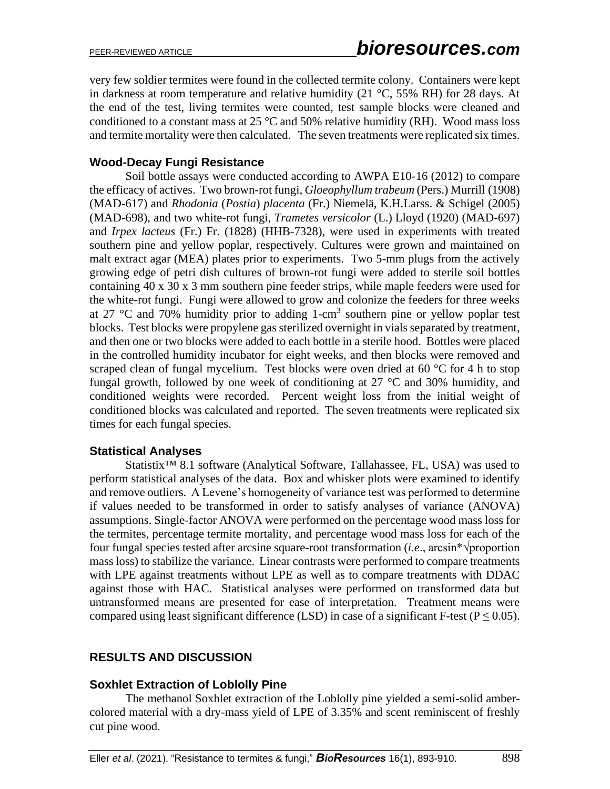very few soldier termites were found in the collected termite colony. Containers were kept in darkness at room temperature and relative humidity (21  $^{\circ}$ C, 55% RH) for 28 days. At the end of the test, living termites were counted, test sample blocks were cleaned and conditioned to a constant mass at  $25^{\circ}$ C and 50% relative humidity (RH). Wood mass loss and termite mortality were then calculated. The seven treatments were replicated six times.

#### **Wood-Decay Fungi Resistance**

Soil bottle assays were conducted according to AWPA E10-16 (2012) to compare the efficacy of actives. Two brown-rot fungi, *Gloeophyllum trabeum* (Pers.) [Murrill](https://en.wikipedia.org/wiki/William_Alphonso_Murrill) (1908) (MAD-617) and *Rhodonia* (*Postia*) *placenta* (Fr.) Niemelä, K.H.Larss. & Schigel (2005) (MAD-698), and two white-rot fungi, *Trametes versicolor* (L.) Lloyd (1920) (MAD-697) and *Irpex lacteus* (Fr.) Fr. (1828) (HHB-7328), were used in experiments with treated southern pine and yellow poplar, respectively. Cultures were grown and maintained on malt extract agar (MEA) plates prior to experiments. Two 5-mm plugs from the actively growing edge of petri dish cultures of brown-rot fungi were added to sterile soil bottles containing 40 x 30 x 3 mm southern pine feeder strips, while maple feeders were used for the white-rot fungi. Fungi were allowed to grow and colonize the feeders for three weeks at 27  $\degree$ C and 70% humidity prior to adding 1-cm<sup>3</sup> southern pine or yellow poplar test blocks. Test blocks were propylene gas sterilized overnight in vials separated by treatment, and then one or two blocks were added to each bottle in a sterile hood. Bottles were placed in the controlled humidity incubator for eight weeks, and then blocks were removed and scraped clean of fungal mycelium. Test blocks were oven dried at  $60^{\circ}$ C for 4 h to stop fungal growth, followed by one week of conditioning at  $27 \text{ °C}$  and  $30\%$  humidity, and conditioned weights were recorded. Percent weight loss from the initial weight of conditioned blocks was calculated and reported. The seven treatments were replicated six times for each fungal species.

#### **Statistical Analyses**

Statistix™ 8.1 software (Analytical Software, Tallahassee, FL, USA) was used to perform statistical analyses of the data. Box and whisker plots were examined to identify and remove outliers. A Levene's homogeneity of variance test was performed to determine if values needed to be transformed in order to satisfy analyses of variance (ANOVA) assumptions. Single-factor ANOVA were performed on the percentage wood mass loss for the termites, percentage termite mortality, and percentage wood mass loss for each of the four fungal species tested after arcsine square-root transformation (*i.e*., arcsin\*√proportion mass loss) to stabilize the variance. Linear contrasts were performed to compare treatments with LPE against treatments without LPE as well as to compare treatments with DDAC against those with HAC. Statistical analyses were performed on transformed data but untransformed means are presented for ease of interpretation. Treatment means were compared using least significant difference (LSD) in case of a significant F-test ( $P \le 0.05$ ).

# **RESULTS AND DISCUSSION**

#### **Soxhlet Extraction of Loblolly Pine**

The methanol Soxhlet extraction of the Loblolly pine yielded a semi-solid ambercolored material with a dry-mass yield of LPE of 3.35% and scent reminiscent of freshly cut pine wood.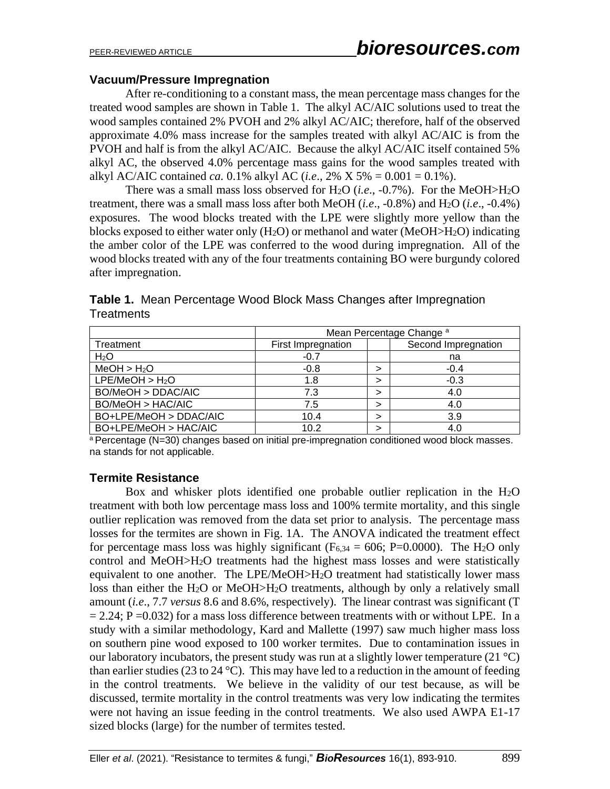#### **Vacuum/Pressure Impregnation**

After re-conditioning to a constant mass, the mean percentage mass changes for the treated wood samples are shown in Table 1. The alkyl AC/AIC solutions used to treat the wood samples contained 2% PVOH and 2% alkyl AC/AIC; therefore, half of the observed approximate 4.0% mass increase for the samples treated with alkyl AC/AIC is from the PVOH and half is from the alkyl AC/AIC. Because the alkyl AC/AIC itself contained 5% alkyl AC, the observed 4.0% percentage mass gains for the wood samples treated with alkyl AC/AIC contained *ca.* 0.1% alkyl AC (*i.e.*, 2% X 5% = 0.001 = 0.1%).

There was a small mass loss observed for H2O (*i.e*., -0.7%). For the MeOH>H2O treatment, there was a small mass loss after both MeOH (*i.e*., -0.8%) and H2O (*i.e*., -0.4%) exposures. The wood blocks treated with the LPE were slightly more yellow than the blocks exposed to either water only (H2O) or methanol and water (MeOH>H2O) indicating the amber color of the LPE was conferred to the wood during impregnation. All of the wood blocks treated with any of the four treatments containing BO were burgundy colored after impregnation.

|                             | Mean Percentage Change <sup>a</sup> |   |                     |
|-----------------------------|-------------------------------------|---|---------------------|
| Treatment                   | First Impregnation                  |   | Second Impregnation |
| H <sub>2</sub> O            | $-0.7$                              |   | na                  |
| MeOH > H <sub>2</sub> O     | $-0.8$                              | ↘ | $-0.4$              |
| LPE/MeOH > H <sub>2</sub> O | 1.8                                 | ↘ | $-0.3$              |
| BO/MeOH > DDAC/AIC          | 7.3                                 | ↘ | 4.0                 |
| BO/MeOH > HAC/AIC           | 7.5                                 | ↘ | 4.0                 |
| BO+LPE/MeOH > DDAC/AIC      | 10.4                                |   | 3.9                 |
| BO+LPE/MeOH > HAC/AIC       | 10.2                                |   | 4.0                 |

**Table 1.** Mean Percentage Wood Block Mass Changes after Impregnation **Treatments** 

 $a$  Percentage (N=30) changes based on initial pre-impregnation conditioned wood block masses. na stands for not applicable.

#### **Termite Resistance**

Box and whisker plots identified one probable outlier replication in the H2O treatment with both low percentage mass loss and 100% termite mortality, and this single outlier replication was removed from the data set prior to analysis. The percentage mass losses for the termites are shown in Fig. 1A. The ANOVA indicated the treatment effect for percentage mass loss was highly significant ( $F_{6,34} = 606$ ; P=0.0000). The H<sub>2</sub>O only control and MeOH>H2O treatments had the highest mass losses and were statistically equivalent to one another. The LPE/MeOH>H2O treatment had statistically lower mass loss than either the H2O or MeOH>H2O treatments, although by only a relatively small amount (*i.e*., 7.7 *versus* 8.6 and 8.6%, respectively). The linear contrast was significant (T  $= 2.24$ ; P = 0.032) for a mass loss difference between treatments with or without LPE. In a study with a similar methodology, Kard and Mallette (1997) saw much higher mass loss on southern pine wood exposed to 100 worker termites. Due to contamination issues in our laboratory incubators, the present study was run at a slightly lower temperature  $(21 \degree C)$ than earlier studies (23 to 24 °C). This may have led to a reduction in the amount of feeding in the control treatments. We believe in the validity of our test because, as will be discussed, termite mortality in the control treatments was very low indicating the termites were not having an issue feeding in the control treatments. We also used AWPA E1-17 sized blocks (large) for the number of termites tested.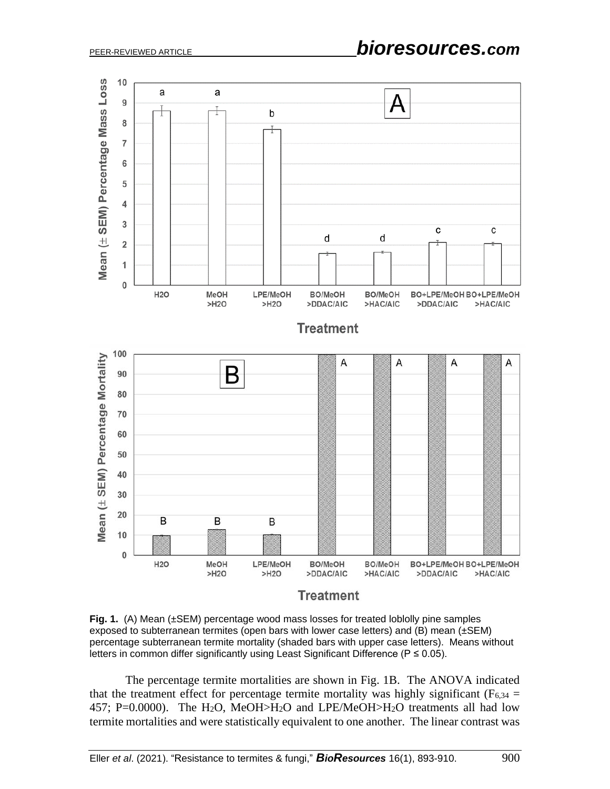

**Fig. 1.** (A) Mean (±SEM) percentage wood mass losses for treated loblolly pine samples exposed to subterranean termites (open bars with lower case letters) and (B) mean (±SEM) percentage subterranean termite mortality (shaded bars with upper case letters). Means without letters in common differ significantly using Least Significant Difference (P ≤ 0.05).

The percentage termite mortalities are shown in Fig. 1B. The ANOVA indicated that the treatment effect for percentage termite mortality was highly significant ( $F_{6,34}$  = 457; P=0.0000). The H<sub>2</sub>O, MeOH>H<sub>2</sub>O and LPE/MeOH>H<sub>2</sub>O treatments all had low termite mortalities and were statistically equivalent to one another. The linear contrast was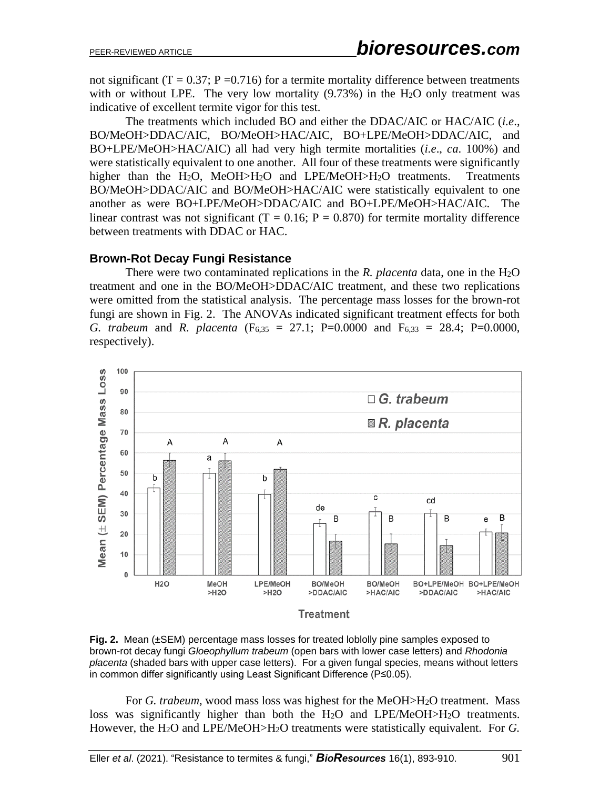not significant ( $T = 0.37$ ; P = 0.716) for a termite mortality difference between treatments with or without LPE. The very low mortality  $(9.73%)$  in the H<sub>2</sub>O only treatment was indicative of excellent termite vigor for this test.

The treatments which included BO and either the DDAC/AIC or HAC/AIC (*i.e*., BO/MeOH>DDAC/AIC, BO/MeOH>HAC/AIC, BO+LPE/MeOH>DDAC/AIC, and BO+LPE/MeOH>HAC/AIC) all had very high termite mortalities (*i.e*., *ca*. 100%) and were statistically equivalent to one another. All four of these treatments were significantly higher than the H<sub>2</sub>O, MeOH>H<sub>2</sub>O and LPE/MeOH>H<sub>2</sub>O treatments. Treatments BO/MeOH>DDAC/AIC and BO/MeOH>HAC/AIC were statistically equivalent to one another as were BO+LPE/MeOH>DDAC/AIC and BO+LPE/MeOH>HAC/AIC. The linear contrast was not significant  $(T = 0.16; P = 0.870)$  for termite mortality difference between treatments with DDAC or HAC.

#### **Brown-Rot Decay Fungi Resistance**

There were two contaminated replications in the *R. placenta* data, one in the H2O treatment and one in the BO/MeOH>DDAC/AIC treatment, and these two replications were omitted from the statistical analysis. The percentage mass losses for the brown-rot fungi are shown in Fig. 2. The ANOVAs indicated significant treatment effects for both *G. trabeum* and *R. placenta* (F6,35 = 27.1; P=0.0000 and F6,33 = 28.4; P=0.0000, respectively).



**Fig. 2.** Mean (±SEM) percentage mass losses for treated loblolly pine samples exposed to brown-rot decay fungi *Gloeophyllum trabeum* (open bars with lower case letters) and *Rhodonia placenta* (shaded bars with upper case letters). For a given fungal species, means without letters in common differ significantly using Least Significant Difference (P≤0.05).

For *G. trabeum*, wood mass loss was highest for the MeOH>H2O treatment. Mass loss was significantly higher than both the H2O and LPE/MeOH>H2O treatments. However, the H2O and LPE/MeOH>H2O treatments were statistically equivalent. For *G.*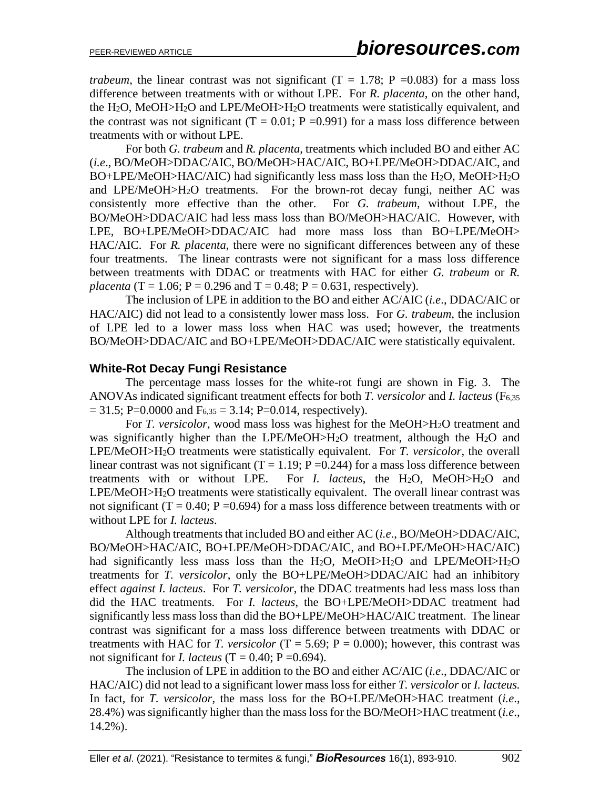*trabeum*, the linear contrast was not significant ( $T = 1.78$ ;  $P = 0.083$ ) for a mass loss difference between treatments with or without LPE.For *R. placenta*, on the other hand, the  $H_2O$ , MeOH $>H_2O$  and LPE/MeOH $>H_2O$  treatments were statistically equivalent, and the contrast was not significant  $(T = 0.01; P = 0.991)$  for a mass loss difference between treatments with or without LPE.

For both *G. trabeum* and *R. placenta*, treatments which included BO and either AC (*i.e*., BO/MeOH>DDAC/AIC, BO/MeOH>HAC/AIC, BO+LPE/MeOH>DDAC/AIC, and  $BO+LPE/MeOH > HAC/AIC$ ) had significantly less mass loss than the  $H<sub>2</sub>O$ , MeOH $>H<sub>2</sub>O$ and LPE/MeOH>H2O treatments. For the brown-rot decay fungi, neither AC was consistently more effective than the other. For *G. trabeum*, without LPE, the BO/MeOH>DDAC/AIC had less mass loss than BO/MeOH>HAC/AIC. However, with LPE, BO+LPE/MeOH>DDAC/AIC had more mass loss than BO+LPE/MeOH> HAC/AIC. For *R. placenta*, there were no significant differences between any of these four treatments. The linear contrasts were not significant for a mass loss difference between treatments with DDAC or treatments with HAC for either *G. trabeum* or *R. placenta* (T = 1.06;  $P = 0.296$  and T = 0.48;  $P = 0.631$ , respectively).

The inclusion of LPE in addition to the BO and either AC/AIC (*i.e*., DDAC/AIC or HAC/AIC) did not lead to a consistently lower mass loss. For *G. trabeum*, the inclusion of LPE led to a lower mass loss when HAC was used; however, the treatments BO/MeOH>DDAC/AIC and BO+LPE/MeOH>DDAC/AIC were statistically equivalent.

#### **White-Rot Decay Fungi Resistance**

The percentage mass losses for the white-rot fungi are shown in Fig. 3. The ANOVAs indicated significant treatment effects for both *T. versicolor* and *I. lacteus* (F6,35  $= 31.5$ ; P=0.0000 and F<sub>6,35</sub> = 3.14; P=0.014, respectively).

For *T. versicolor*, wood mass loss was highest for the MeOH>H2O treatment and was significantly higher than the LPE/MeOH>H2O treatment, although the H2O and LPE/MeOH>H2O treatments were statistically equivalent. For *T. versicolor*, the overall linear contrast was not significant (T = 1.19; P = 0.244) for a mass loss difference between treatments with or without LPE. For *I. lacteus*, the H2O, MeOH>H2O and LPE/MeOH>H2O treatments were statistically equivalent. The overall linear contrast was not significant (T = 0.40; P = 0.694) for a mass loss difference between treatments with or without LPE for *I. lacteus*.

Although treatments that included BO and either AC (*i.e*., BO/MeOH>DDAC/AIC, BO/MeOH>HAC/AIC, BO+LPE/MeOH>DDAC/AIC, and BO+LPE/MeOH>HAC/AIC) had significantly less mass loss than the H<sub>2</sub>O, MeOH>H<sub>2</sub>O and LPE/MeOH>H<sub>2</sub>O treatments for *T. versicolor*, only the BO+LPE/MeOH>DDAC/AIC had an inhibitory effect *against I. lacteus*. For *T. versicolor*, the DDAC treatments had less mass loss than did the HAC treatments. For *I. lacteus*, the BO+LPE/MeOH>DDAC treatment had significantly less mass loss than did the BO+LPE/MeOH>HAC/AIC treatment. The linear contrast was significant for a mass loss difference between treatments with DDAC or treatments with HAC for *T. versicolor*  $(T = 5.69; P = 0.000)$ ; however, this contrast was not significant for *I. lacteus*  $(T = 0.40; P = 0.694)$ .

The inclusion of LPE in addition to the BO and either AC/AIC (*i.e*., DDAC/AIC or HAC/AIC) did not lead to a significant lower mass loss for either *T. versicolor* or *I. lacteus.* In fact, for *T. versicolor*, the mass loss for the BO+LPE/MeOH>HAC treatment (*i.e*., 28.4%) was significantly higher than the mass loss for the BO/MeOH>HAC treatment (*i.e*., 14.2%).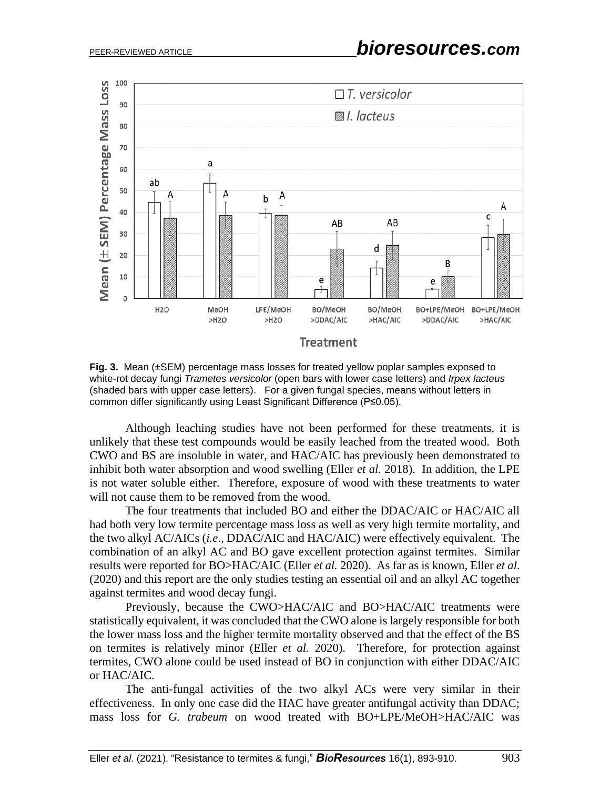

**Fig. 3.** Mean (±SEM) percentage mass losses for treated yellow poplar samples exposed to white-rot decay fungi *Trametes versicolor* (open bars with lower case letters) and *Irpex lacteus* (shaded bars with upper case letters). For a given fungal species, means without letters in common differ significantly using Least Significant Difference (P≤0.05).

Although leaching studies have not been performed for these treatments, it is unlikely that these test compounds would be easily leached from the treated wood. Both CWO and BS are insoluble in water, and HAC/AIC has previously been demonstrated to inhibit both water absorption and wood swelling (Eller *et al.* 2018). In addition, the LPE is not water soluble either. Therefore, exposure of wood with these treatments to water will not cause them to be removed from the wood.

The four treatments that included BO and either the DDAC/AIC or HAC/AIC all had both very low termite percentage mass loss as well as very high termite mortality, and the two alkyl AC/AICs (*i.e*., DDAC/AIC and HAC/AIC) were effectively equivalent. The combination of an alkyl AC and BO gave excellent protection against termites. Similar results were reported for BO>HAC/AIC (Eller *et al.* 2020). As far as is known, Eller *et al*. (2020) and this report are the only studies testing an essential oil and an alkyl AC together against termites and wood decay fungi.

Previously, because the CWO>HAC/AIC and BO>HAC/AIC treatments were statistically equivalent, it was concluded that the CWO alone is largely responsible for both the lower mass loss and the higher termite mortality observed and that the effect of the BS on termites is relatively minor (Eller *et al.* 2020). Therefore, for protection against termites, CWO alone could be used instead of BO in conjunction with either DDAC/AIC or HAC/AIC.

The anti-fungal activities of the two alkyl ACs were very similar in their effectiveness. In only one case did the HAC have greater antifungal activity than DDAC; mass loss for *G. trabeum* on wood treated with BO+LPE/MeOH>HAC/AIC was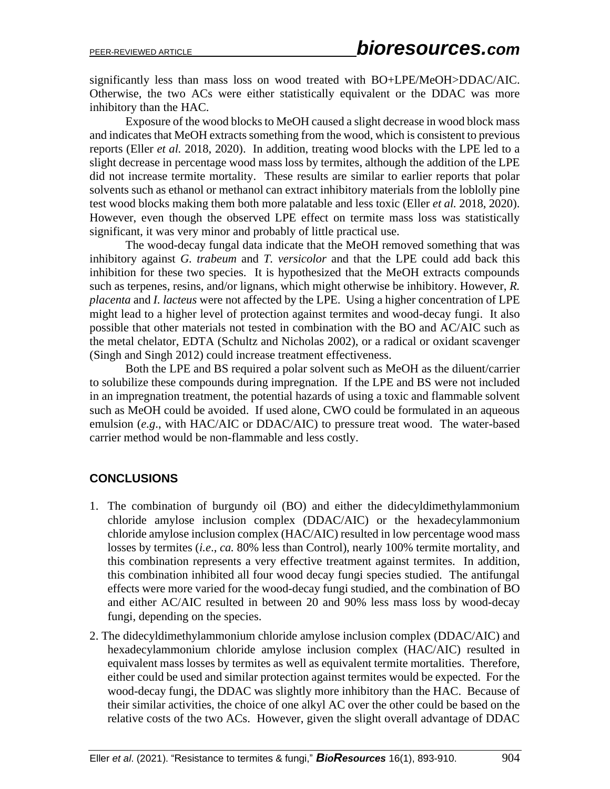significantly less than mass loss on wood treated with BO+LPE/MeOH>DDAC/AIC. Otherwise, the two ACs were either statistically equivalent or the DDAC was more inhibitory than the HAC.

Exposure of the wood blocks to MeOH caused a slight decrease in wood block mass and indicates that MeOH extracts something from the wood, which is consistent to previous reports (Eller *et al.* 2018, 2020). In addition, treating wood blocks with the LPE led to a slight decrease in percentage wood mass loss by termites, although the addition of the LPE did not increase termite mortality. These results are similar to earlier reports that polar solvents such as ethanol or methanol can extract inhibitory materials from the loblolly pine test wood blocks making them both more palatable and less toxic (Eller *et al.* 2018, 2020). However, even though the observed LPE effect on termite mass loss was statistically significant, it was very minor and probably of little practical use.

The wood-decay fungal data indicate that the MeOH removed something that was inhibitory against *G. trabeum* and *T. versicolor* and that the LPE could add back this inhibition for these two species. It is hypothesized that the MeOH extracts compounds such as terpenes, resins, and/or lignans, which might otherwise be inhibitory. However, *R. placenta* and *I. lacteus* were not affected by the LPE. Using a higher concentration of LPE might lead to a higher level of protection against termites and wood-decay fungi. It also possible that other materials not tested in combination with the BO and AC/AIC such as the metal chelator, EDTA (Schultz and Nicholas 2002), or a radical or oxidant scavenger (Singh and Singh 2012) could increase treatment effectiveness.

Both the LPE and BS required a polar solvent such as MeOH as the diluent/carrier to solubilize these compounds during impregnation. If the LPE and BS were not included in an impregnation treatment, the potential hazards of using a toxic and flammable solvent such as MeOH could be avoided. If used alone, CWO could be formulated in an aqueous emulsion (*e.g*., with HAC/AIC or DDAC/AIC) to pressure treat wood. The water-based carrier method would be non-flammable and less costly.

# **CONCLUSIONS**

- 1. The combination of burgundy oil (BO) and either the didecyldimethylammonium chloride amylose inclusion complex (DDAC/AIC) or the hexadecylammonium chloride amylose inclusion complex (HAC/AIC) resulted in low percentage wood mass losses by termites (*i.e*., *ca.* 80% less than Control), nearly 100% termite mortality, and this combination represents a very effective treatment against termites. In addition, this combination inhibited all four wood decay fungi species studied. The antifungal effects were more varied for the wood-decay fungi studied, and the combination of BO and either AC/AIC resulted in between 20 and 90% less mass loss by wood-decay fungi, depending on the species.
- 2. The didecyldimethylammonium chloride amylose inclusion complex (DDAC/AIC) and hexadecylammonium chloride amylose inclusion complex (HAC/AIC) resulted in equivalent mass losses by termites as well as equivalent termite mortalities. Therefore, either could be used and similar protection against termites would be expected. For the wood-decay fungi, the DDAC was slightly more inhibitory than the HAC. Because of their similar activities, the choice of one alkyl AC over the other could be based on the relative costs of the two ACs. However, given the slight overall advantage of DDAC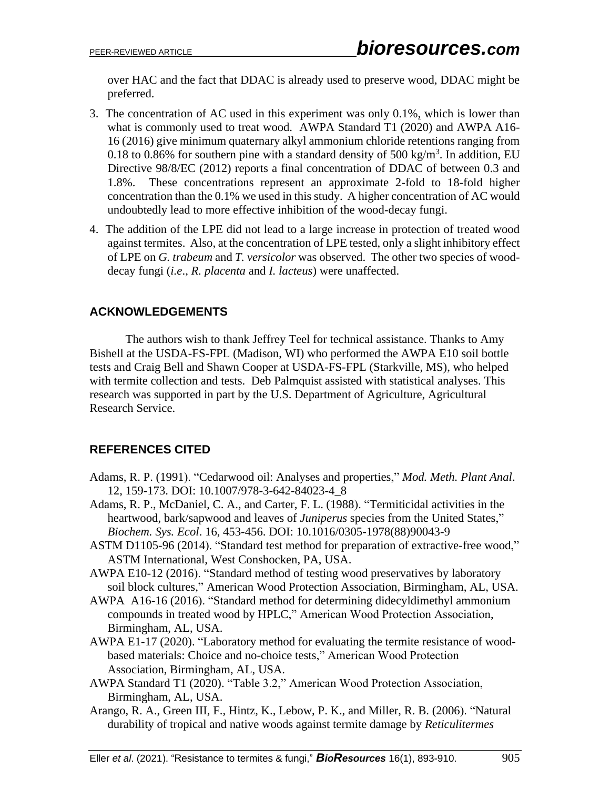over HAC and the fact that DDAC is already used to preserve wood, DDAC might be preferred.

- 3. The concentration of AC used in this experiment was only 0.1%, which is lower than what is commonly used to treat wood. AWPA Standard T1 (2020) and AWPA A16- 16 (2016) give minimum quaternary alkyl ammonium chloride retentions ranging from 0.18 to 0.86% for southern pine with a standard density of 500 kg/m<sup>3</sup>. In addition, EU Directive 98/8/EC (2012) reports a final concentration of DDAC of between 0.3 and 1.8%. These concentrations represent an approximate 2-fold to 18-fold higher concentration than the 0.1% we used in this study. A higher concentration of AC would undoubtedly lead to more effective inhibition of the wood-decay fungi.
- 4. The addition of the LPE did not lead to a large increase in protection of treated wood against termites. Also, at the concentration of LPE tested, only a slight inhibitory effect of LPE on *G. trabeum* and *T. versicolor* was observed. The other two species of wooddecay fungi (*i.e*., *R. placenta* and *I. lacteus*) were unaffected.

# **ACKNOWLEDGEMENTS**

The authors wish to thank Jeffrey Teel for technical assistance. Thanks to Amy Bishell at the USDA-FS-FPL (Madison, WI) who performed the AWPA E10 soil bottle tests and Craig Bell and Shawn Cooper at USDA-FS-FPL (Starkville, MS), who helped with termite collection and tests. Deb Palmquist assisted with statistical analyses. This research was supported in part by the U.S. Department of Agriculture, Agricultural Research Service.

# **REFERENCES CITED**

- Adams, R. P. (1991). "Cedarwood oil: Analyses and properties," *Mod. Meth. Plant Anal*. 12, 159-173. DOI: 10.1007/978-3-642-84023-4\_8
- Adams, R. P., McDaniel, C. A., and Carter, F. L. (1988). "Termiticidal activities in the heartwood, bark/sapwood and leaves of *Juniperus* species from the United States," *Biochem. Sys. Ecol*. 16, 453-456. DOI: 10.1016/0305-1978(88)90043-9
- ASTM D1105-96 (2014). "Standard test method for preparation of extractive-free wood," ASTM International, West Conshocken, PA, USA.
- AWPA E10-12 (2016). "Standard method of testing wood preservatives by laboratory soil block cultures," American Wood Protection Association, Birmingham, AL, USA.
- AWPA A16-16 (2016). "Standard method for determining didecyldimethyl ammonium compounds in treated wood by HPLC," American Wood Protection Association, Birmingham, AL, USA.
- AWPA E1-17 (2020). "Laboratory method for evaluating the termite resistance of woodbased materials: Choice and no-choice tests," American Wood Protection Association, Birmingham, AL, USA.
- AWPA Standard T1 (2020). "Table 3.2," American Wood Protection Association, Birmingham, AL, USA.
- Arango, R. A., Green III, F., Hintz, K., Lebow, P. K., and Miller, R. B. (2006). "Natural durability of tropical and native woods against termite damage by *Reticulitermes*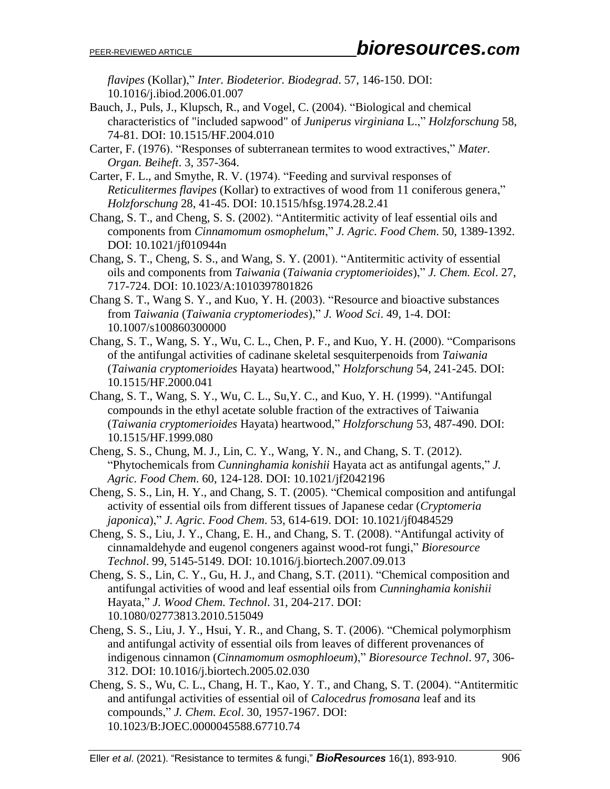*flavipes* (Kollar)," *Inter. Biodeterior. Biodegrad*. 57, 146-150. DOI: 10.1016/j.ibiod.2006.01.007

- Bauch, J., Puls, J., Klupsch, R., and Vogel, C. (2004). "Biological and chemical characteristics of "included sapwood" of *Juniperus virginiana* L.," *Holzforschung* 58, 74-81. DOI: 10.1515/HF.2004.010
- Carter, F. (1976). "Responses of subterranean termites to wood extractives," *Mater. Organ. Beiheft*. 3, 357-364.
- Carter, F. L., and Smythe, R. V. (1974). "Feeding and survival responses of *Reticulitermes flavipes* (Kollar) to extractives of wood from 11 coniferous genera," *Holzforschung* 28, 41-45. DOI: 10.1515/hfsg.1974.28.2.41
- Chang, S. T., and Cheng, S. S. (2002). "Antitermitic activity of leaf essential oils and components from *Cinnamomum osmophelum*," *J. Agric. Food Chem*. 50, 1389-1392. DOI: 10.1021/jf010944n
- Chang, S. T., Cheng, S. S., and Wang, S. Y. (2001). "Antitermitic activity of essential oils and components from *Taiwania* (*Taiwania cryptomerioides*)," *J. Chem. Ecol*. 27, 717-724. DOI: 10.1023/A:1010397801826
- Chang S. T., Wang S. Y., and Kuo, Y. H. (2003). "Resource and bioactive substances from *Taiwania* (*Taiwania cryptomeriodes*)," *J. Wood Sci*. 49, 1-4. DOI: 10.1007/s100860300000
- Chang, S. T., Wang, S. Y., Wu, C. L., Chen, P. F., and Kuo, Y. H. (2000). "Comparisons of the antifungal activities of cadinane skeletal sesquiterpenoids from *Taiwania*  (*Taiwania cryptomerioides* Hayata) heartwood," *Holzforschung* 54, 241-245. DOI: 10.1515/HF.2000.041
- Chang, S. T., Wang, S. Y., Wu, C. L., Su,Y. C., and Kuo, Y. H. (1999). "Antifungal compounds in the ethyl acetate soluble fraction of the extractives of Taiwania (*Taiwania cryptomerioides* Hayata) heartwood," *Holzforschung* 53, 487-490. DOI: 10.1515/HF.1999.080
- Cheng, S. S., Chung, M. J., Lin, C. Y., Wang, Y. N., and Chang, S. T. (2012). "Phytochemicals from *Cunninghamia konishii* Hayata act as antifungal agents," *J. Agric. Food Chem*. 60, 124-128. DOI: 10.1021/jf2042196
- Cheng, S. S., Lin, H. Y., and Chang, S. T. (2005). "Chemical composition and antifungal activity of essential oils from different tissues of Japanese cedar (*Cryptomeria japonica*)," *J. Agric. Food Chem*. 53, 614-619. DOI: 10.1021/jf0484529
- Cheng, S. S., Liu, J. Y., Chang, E. H., and Chang, S. T. (2008). "Antifungal activity of cinnamaldehyde and eugenol congeners against wood-rot fungi," *Bioresource Technol*. 99, 5145-5149. DOI: 10.1016/j.biortech.2007.09.013
- Cheng, S. S., Lin, C. Y., Gu, H. J., and Chang, S.T. (2011). "Chemical composition and antifungal activities of wood and leaf essential oils from *Cunninghamia konishii* Hayata," *J. Wood Chem. Technol*. 31, 204-217. DOI: 10.1080/02773813.2010.515049
- Cheng, S. S., Liu, J. Y., Hsui, Y. R., and Chang, S. T. (2006). "Chemical polymorphism and antifungal activity of essential oils from leaves of different provenances of indigenous cinnamon (*Cinnamomum osmophloeum*)," *Bioresource Technol*. 97, 306- 312. DOI: 10.1016/j.biortech.2005.02.030
- Cheng, S. S., Wu, C. L., Chang, H. T., Kao, Y. T., and Chang, S. T. (2004). "Antitermitic and antifungal activities of essential oil of *Calocedrus fromosana* leaf and its compounds," *J. Chem. Ecol*. 30, 1957-1967. DOI: 10.1023/B:JOEC.0000045588.67710.74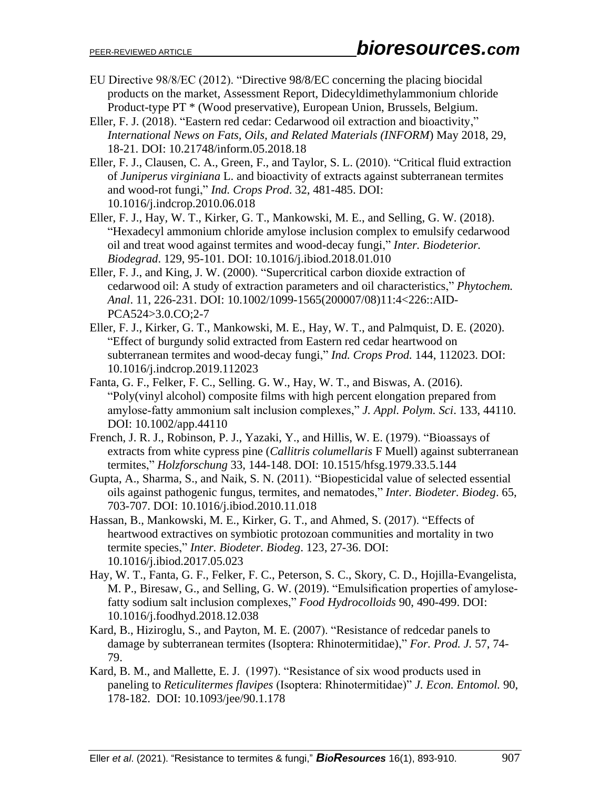- EU Directive 98/8/EC (2012). "Directive 98/8/EC concerning the placing biocidal products on the market, Assessment Report, Didecyldimethylammonium chloride Product-type PT \* (Wood preservative), European Union, Brussels, Belgium.
- Eller, F. J. (2018). "Eastern red cedar: Cedarwood oil extraction and bioactivity," *International News on Fats, Oils, and Related Materials (INFORM*) May 2018, 29, 18-21. DOI: 10.21748/inform.05.2018.18
- Eller, F. J., Clausen, C. A., Green, F., and Taylor, S. L. (2010). "Critical fluid extraction of *Juniperus virginiana* L. and bioactivity of extracts against subterranean termites and wood-rot fungi," *Ind. Crops Prod*. 32, 481-485. DOI: 10.1016/j.indcrop.2010.06.018
- Eller, F. J., Hay, W. T., Kirker, G. T., Mankowski, M. E., and Selling, G. W. (2018). "Hexadecyl ammonium chloride amylose inclusion complex to emulsify cedarwood oil and treat wood against termites and wood-decay fungi," *Inter. Biodeterior. Biodegrad*. 129, 95-101. DOI: 10.1016/j.ibiod.2018.01.010
- Eller, F. J., and King, J. W. (2000). "Supercritical carbon dioxide extraction of cedarwood oil: A study of extraction parameters and oil characteristics," *Phytochem. Anal*. 11, 226-231. DOI: 10.1002/1099-1565(200007/08)11:4<226::AID-PCA524>3.0.CO;2-7
- Eller, F. J., Kirker, G. T., Mankowski, M. E., Hay, W. T., and Palmquist, D. E. (2020). "Effect of burgundy solid extracted from Eastern red cedar heartwood on subterranean termites and wood-decay fungi," *Ind. Crops Prod.* 144, 112023. DOI: 10.1016/j.indcrop.2019.112023
- Fanta, G. F., Felker, F. C., Selling. G. W., Hay, W. T., and Biswas, A. (2016). "Poly(vinyl alcohol) composite films with high percent elongation prepared from amylose‐fatty ammonium salt inclusion complexes," *J. Appl. Polym. Sci*. 133, 44110. DOI: 10.1002/app.44110
- French, J. R. J., Robinson, P. J., Yazaki, Y., and Hillis, W. E. (1979). "Bioassays of extracts from white cypress pine (*Callitris columellaris* F Muell) against subterranean termites," *Holzforschung* 33, 144-148. DOI: 10.1515/hfsg.1979.33.5.144
- Gupta, A., Sharma, S., and Naik, S. N. (2011). "Biopesticidal value of selected essential oils against pathogenic fungus, termites, and nematodes," *Inter. Biodeter. Biodeg*. 65, 703-707. DOI: 10.1016/j.ibiod.2010.11.018
- Hassan, B., Mankowski, M. E., Kirker, G. T., and Ahmed, S. (2017). "Effects of heartwood extractives on symbiotic protozoan communities and mortality in two termite species," *Inter. Biodeter. Biodeg*. 123, 27-36. DOI: 10.1016/j.ibiod.2017.05.023
- Hay, W. T., Fanta, G. F., Felker, F. C., Peterson, S. C., Skory, C. D., Hojilla-Evangelista, M. P., Biresaw, G., and Selling, G. W. (2019). "Emulsification properties of amylosefatty sodium salt inclusion complexes," *Food Hydrocolloids* 90, 490-499. DOI: 10.1016/j.foodhyd.2018.12.038
- Kard, B., Hiziroglu, S., and Payton, M. E. (2007). "Resistance of redcedar panels to damage by subterranean termites (Isoptera: Rhinotermitidae)," *For. Prod. J.* 57, 74- 79.
- Kard, B. M., and Mallette, E. J. (1997). "Resistance of six wood products used in paneling to *Reticulitermes flavipes* (Isoptera: Rhinotermitidae)" *J. Econ. Entomol.* 90, 178-182. DOI: 10.1093/jee/90.1.178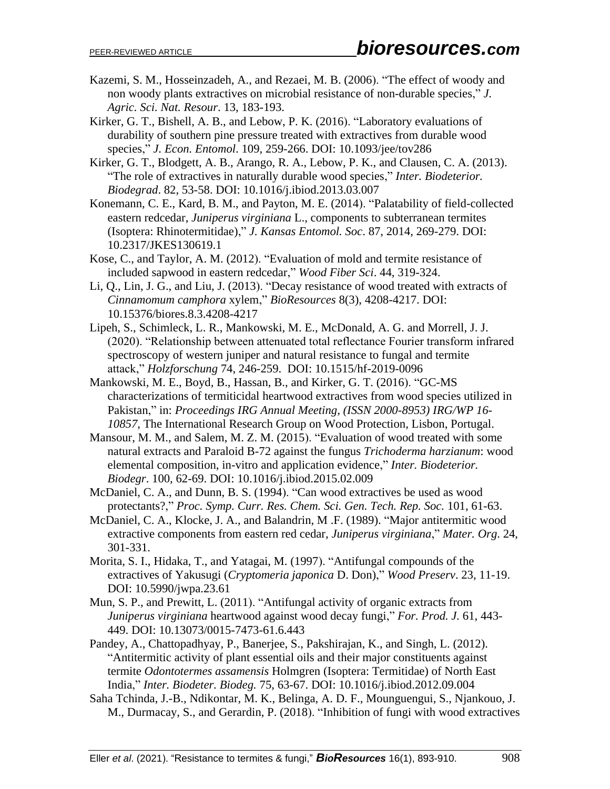- Kazemi, S. M., Hosseinzadeh, A., and Rezaei, M. B. (2006). "The effect of woody and non woody plants extractives on microbial resistance of non-durable species," *J. Agric. Sci. Nat. Resour*. 13, 183-193.
- Kirker, G. T., Bishell, A. B., and Lebow, P. K. (2016). "Laboratory evaluations of durability of southern pine pressure treated with extractives from durable wood species," *J. Econ. Entomol*. 109, 259-266. DOI: 10.1093/jee/tov286
- Kirker, G. T., Blodgett, A. B., Arango, R. A., Lebow, P. K., and Clausen, C. A. (2013). "The role of extractives in naturally durable wood species," *Inter. Biodeterior. Biodegrad*. 82, 53-58. DOI: 10.1016/j.ibiod.2013.03.007
- Konemann, C. E., Kard, B. M., and Payton, M. E. (2014). "Palatability of field-collected eastern redcedar, *Juniperus virginiana* L., components to subterranean termites (Isoptera: Rhinotermitidae)," *J. Kansas Entomol. Soc*. 87, 2014, 269-279. DOI: 10.2317/JKES130619.1
- Kose, C., and Taylor, A. M. (2012). "Evaluation of mold and termite resistance of included sapwood in eastern redcedar," *Wood Fiber Sci*. 44, 319-324.
- Li, Q., Lin, J. G., and Liu, J. (2013). "Decay resistance of wood treated with extracts of *Cinnamomum camphora* xylem," *BioResources* 8(3), 4208-4217. DOI: 10.15376/biores.8.3.4208-4217
- Lipeh, S., Schimleck, L. R., Mankowski, M. E., McDonald, A. G. and Morrell, J. J. (2020). "Relationship between attenuated total reflectance Fourier transform infrared spectroscopy of western juniper and natural resistance to fungal and termite attack," *Holzforschung* 74, 246-259. DOI: 10.1515/hf-2019-0096
- Mankowski, M. E., Boyd, B., Hassan, B., and Kirker, G. T. (2016). "GC-MS characterizations of termiticidal heartwood extractives from wood species utilized in Pakistan," in: *Proceedings IRG Annual Meeting, (ISSN 2000-8953) IRG/WP 16- 10857*, The International Research Group on Wood Protection, Lisbon, Portugal.
- Mansour, M. M., and Salem, M. Z. M. (2015). "Evaluation of wood treated with some natural extracts and Paraloid B-72 against the fungus *Trichoderma harzianum*: wood elemental composition, in-vitro and application evidence," *Inter. Biodeterior. Biodegr*. 100, 62-69. DOI: 10.1016/j.ibiod.2015.02.009
- McDaniel, C. A., and Dunn, B. S. (1994). "Can wood extractives be used as wood protectants?," *Proc. Symp. Curr. Res. Chem. Sci. Gen. Tech. Rep. Soc.* 101, 61-63.
- McDaniel, C. A., Klocke, J. A., and Balandrin, M .F. (1989). "Major antitermitic wood extractive components from eastern red cedar, *Juniperus virginiana*," *Mater. Org*. 24, 301-331.
- Morita, S. I., Hidaka, T., and Yatagai, M. (1997). "Antifungal compounds of the extractives of Yakusugi (*Cryptomeria japonica* D. Don)," *Wood Preserv*. 23, 11-19. DOI: 10.5990/jwpa.23.61
- Mun, S. P., and Prewitt, L. (2011). "Antifungal activity of organic extracts from *Juniperus virginiana* heartwood against wood decay fungi," *For. Prod. J.* 61, 443- 449. DOI: 10.13073/0015-7473-61.6.443
- Pandey, A., Chattopadhyay, P., Banerjee, S., Pakshirajan, K., and Singh, L. (2012). "Antitermitic activity of plant essential oils and their major constituents against termite *Odontotermes assamensis* Holmgren (Isoptera: Termitidae) of North East India," *Inter. Biodeter. Biodeg.* 75, 63-67. DOI: 10.1016/j.ibiod.2012.09.004
- Saha Tchinda, J.-B., Ndikontar, M. K., Belinga, A. D. F., Mounguengui, S., Njankouo, J. M., Durmacay, S., and Gerardin, P. (2018). "Inhibition of fungi with wood extractives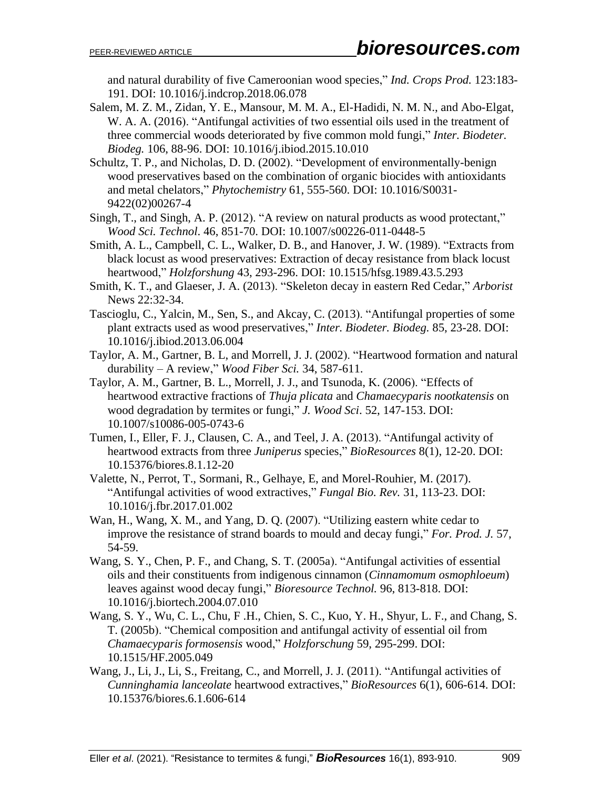and natural durability of five Cameroonian wood species," *Ind. Crops Prod.* 123:183- 191. DOI: 10.1016/j.indcrop.2018.06.078

- Salem, M. Z. M., Zidan, Y. E., Mansour, M. M. A., El-Hadidi, N. M. N., and Abo-Elgat, W. A. A. (2016). "Antifungal activities of two essential oils used in the treatment of three commercial woods deteriorated by five common mold fungi," *Inter. Biodeter. Biodeg.* 106, 88-96. DOI: 10.1016/j.ibiod.2015.10.010
- Schultz, T. P., and Nicholas, D. D. (2002). "Development of environmentally-benign wood preservatives based on the combination of organic biocides with antioxidants and metal chelators," *Phytochemistry* 61, 555-560. DOI: 10.1016/S0031- 9422(02)00267-4
- Singh, T., and Singh, A. P. (2012). "A review on natural products as wood protectant," *Wood Sci. Technol*. 46, 851-70. DOI: 10.1007/s00226-011-0448-5
- Smith, A. L., Campbell, C. L., Walker, D. B., and Hanover, J. W. (1989). "Extracts from black locust as wood preservatives: Extraction of decay resistance from black locust heartwood," *Holzforshung* 43, 293-296. DOI: 10.1515/hfsg.1989.43.5.293
- Smith, K. T., and Glaeser, J. A. (2013). "Skeleton decay in eastern Red Cedar," *Arborist*  News 22:32-34.
- Tascioglu, C., Yalcin, M., Sen, S., and Akcay, C. (2013). "Antifungal properties of some plant extracts used as wood preservatives," *Inter. Biodeter. Biodeg.* 85, 23-28. DOI: 10.1016/j.ibiod.2013.06.004
- Taylor, A. M., Gartner, B. L, and Morrell, J. J. (2002). "Heartwood formation and natural durability – A review," *Wood Fiber Sci.* 34, 587-611.
- Taylor, A. M., Gartner, B. L., Morrell, J. J., and Tsunoda, K. (2006). "Effects of heartwood extractive fractions of *Thuja plicata* and *Chamaecyparis nootkatensis* on wood degradation by termites or fungi," *J. Wood Sci*. 52, 147-153. DOI: 10.1007/s10086-005-0743-6
- Tumen, I., Eller, F. J., Clausen, C. A., and Teel, J. A. (2013). "Antifungal activity of heartwood extracts from three *Juniperus* species," *BioResources* 8(1), 12-20. DOI: 10.15376/biores.8.1.12-20
- Valette, N., Perrot, T., Sormani, R., Gelhaye, E, and Morel-Rouhier, M. (2017). "Antifungal activities of wood extractives," *Fungal Bio. Rev.* 31, 113-23. DOI: 10.1016/j.fbr.2017.01.002
- Wan, H., Wang, X. M., and Yang, D. Q. (2007). "Utilizing eastern white cedar to improve the resistance of strand boards to mould and decay fungi," *For. Prod. J.* 57, 54-59.
- Wang, S. Y., Chen, P. F., and Chang, S. T. (2005a). "Antifungal activities of essential oils and their constituents from indigenous cinnamon (*Cinnamomum osmophloeum*) leaves against wood decay fungi," *Bioresource Technol.* 96, 813-818. DOI: 10.1016/j.biortech.2004.07.010
- Wang, S. Y., Wu, C. L., Chu, F .H., Chien, S. C., Kuo, Y. H., Shyur, L. F., and Chang, S. T. (2005b). "Chemical composition and antifungal activity of essential oil from *Chamaecyparis formosensis* wood," *Holzforschung* 59, 295-299. DOI: 10.1515/HF.2005.049
- Wang, J., Li, J., Li, S., Freitang, C., and Morrell, J. J. (2011). "Antifungal activities of *Cunninghamia lanceolate* heartwood extractives," *BioResources* 6(1), 606-614. DOI: 10.15376/biores.6.1.606-614